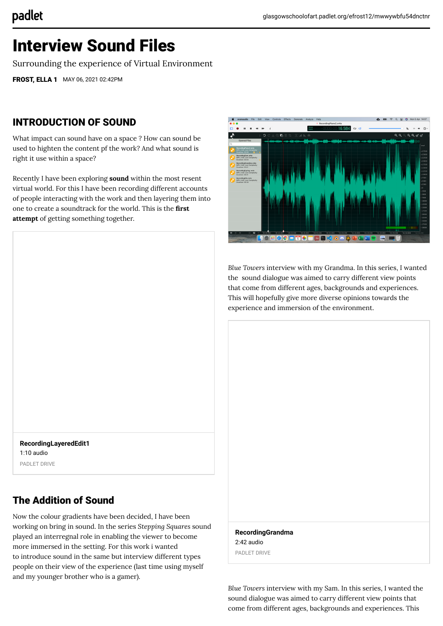# Interview Sound Files

Surrounding the experience of Virtual Environment

[FROST, ELLA 1](https://glasgowschoolofart.padlet.org/efrost12) MAY 06, 2021 02:42PM

#### INTRODUCTION OF SOUND

What impact can sound have on a space ? How can sound be used to highten the content pf the work? And what sound is right it use within a space?

Recently I have been exploring **sound** within the most resent virtual world. For this I have been recording different accounts of people interacting with the work and then layering them into one to create a soundtrack for the world. This is the **first attempt** of getting something together.



*Blue Towers* interview with my Grandma. In this series, I wanted the sound dialogue was aimed to carry different view points that come from different ages, backgrounds and experiences. This will hopefully give more diverse opinions towards the experience and immersion of the environment.

**[RecordingLayeredEdit1](https://padlet-uploads.storage.googleapis.com/751459369/69abcf00af8c8766051ce2a05ef212b0/RecordingLayeredEdit1.mp3)** 1:10 audio PADLET DRIVE

### The Addition of Sound

Now the colour gradients have been decided, I have been working on bring in sound. In the series *Stepping Squares* sound played an interregnal role in enabling the viewer to become more immersed in the setting. For this work i wanted to introduce sound in the same but interview different types people on their view of the experience (last time using myself and my younger brother who is a gamer).

**[RecordingGrandma](https://padlet-uploads.storage.googleapis.com/751459369/7a5361803adc24e4aaeb70035e8be2c8/RecordingGrandma.mp3)** 2:42 audio PADLET DRIVE

*Blue Towers* interview with my Sam. In this series, I wanted the sound dialogue was aimed to carry different view points that come from different ages, backgrounds and experiences. This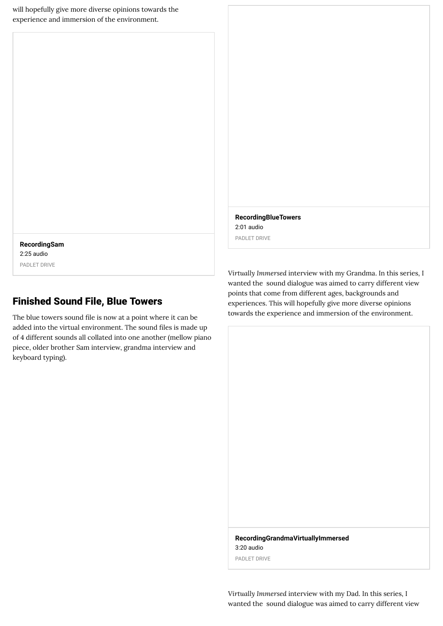will hopefully give more diverse opinions towards the experience and immersion of the environment.

**[RecordingBlueTowers](https://padlet-uploads.storage.googleapis.com/751459369/87ee62789cd45528817e7255b7994eea/RecordingBlueTowers.mp3)** 2:01 audio PADLET DRIVE

**[RecordingSam](https://padlet-uploads.storage.googleapis.com/751459369/551925e08f9c6a9b70cd02446ccf6ecc/RecordingSam.mp3)** 2:25 audio PADLET DRIVE

#### Finished Sound File, Blue Towers

The blue towers sound file is now at a point where it can be added into the virtual environment. The sound files is made up of 4 different sounds all collated into one another (mellow piano piece, older brother Sam interview, grandma interview and keyboard typing).

*Virtually Immersed* interview with my Grandma. In this series, I wanted the sound dialogue was aimed to carry different view points that come from different ages, backgrounds and experiences. This will hopefully give more diverse opinions towards the experience and immersion of the environment.

**[RecordingGrandmaVirtuallyImmersed](https://padlet-uploads.storage.googleapis.com/751459369/766a30b348ae39cba67706a4d9f016de/RecordingGrandmaVirtuallyImmersed.mp3)** 3:20 audio

PADLET DRIVE

*Virtually Immersed* interview with my Dad. In this series, I wanted the sound dialogue was aimed to carry different view